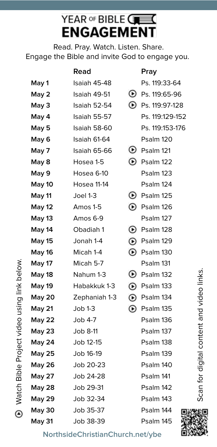## YEAR OF BIBLE GES **ENGAGEMENT**

Read. Pray. Watch. Listen. Share. Engage the Bible and invite God to engage you.

|               | Read               |           | Pray                     |  |
|---------------|--------------------|-----------|--------------------------|--|
| May 1         | Isaiah 45-48       |           | Ps. 119:33-64            |  |
| May 2         | Isaiah 49-51       | ◉         | Ps. 119:65-96            |  |
| May 3         | Isaiah 52-54       |           | <b>D</b> Ps. 119:97-128  |  |
| May 4         | Isaiah 55-57       |           | Ps. 119:129-152          |  |
| May 5         | Isaiah 58-60       |           | Ps. 119:153-176          |  |
| May 6         | Isaiah 61-64       |           | Psalm 120                |  |
| May 7         | Isaiah 65-66       | ◉         | Psalm 121                |  |
| May 8         | Hosea 1-5          | ⊕         | Psalm 122                |  |
| May 9         | Hosea 6-10         |           | Psalm 123                |  |
| May 10        | <b>Hosea 11-14</b> |           | Psalm 124                |  |
| May 11        | Joel 1-3           | ◉         | Psalm 125                |  |
| <b>May 12</b> | Amos 1-5           | ⊕         | Psalm 126                |  |
| May 13        | Amos 6-9           |           | Psalm 127                |  |
| May 14        | Obadiah 1          | ◉         | Psalm 128                |  |
| <b>May 15</b> | Jonah 1-4          |           | <sup>129</sup> Psalm 129 |  |
| <b>May 16</b> | Micah 1-4          | ⊕         | Psalm 130                |  |
| <b>May 17</b> | Micah 5-7          |           | Psalm 131                |  |
| <b>May 18</b> | Nahum 1-3          | ◉         | Psalm 132                |  |
| <b>May 19</b> | Habakkuk 1-3       |           | <b>133</b> Psalm 133     |  |
| May 20        | Zephaniah 1-3      | $\odot$   | Psalm 134                |  |
| <b>May 21</b> | $Job 1-3$          | ⊙         | Psalm 135                |  |
| <b>May 22</b> | Job 4-7            |           | Psalm 136                |  |
| May 23        | Job 8-11           |           | Psalm 137                |  |
| May 24        | Job 12-15          | Psalm 138 |                          |  |
| <b>May 25</b> | Job 16-19          | Psalm 139 |                          |  |
| <b>May 26</b> | Job 20-23          | Psalm 140 |                          |  |
| <b>May 27</b> | Job 24-28          | Psalm 141 |                          |  |
| <b>May 28</b> | Job 29-31          |           | Psalm 142                |  |
| <b>May 29</b> | Job 32-34          |           | Psalm 143                |  |
| <b>May 30</b> | Job 35-37          | Psalm 144 |                          |  |
| May 31        | Job 38-39          | Psalm 145 |                          |  |

Õ

Scan for digital content and video links.

Scan for digital content and video links.

**NorthsideChristianChurch.net/ybe**